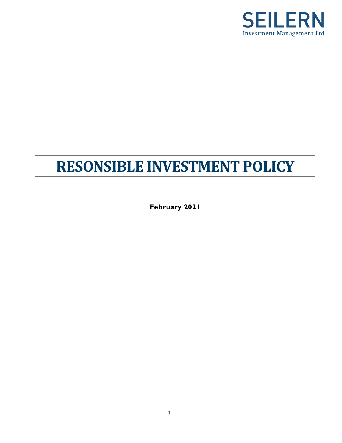

# **RESONSIBLE INVESTMENT POLICY**

**February 2021**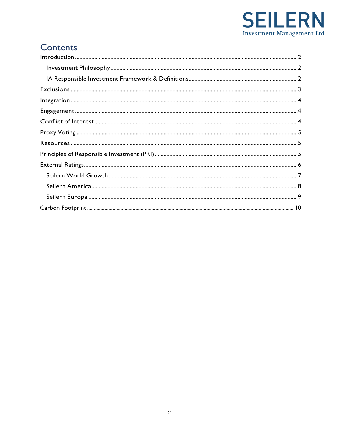

# Contents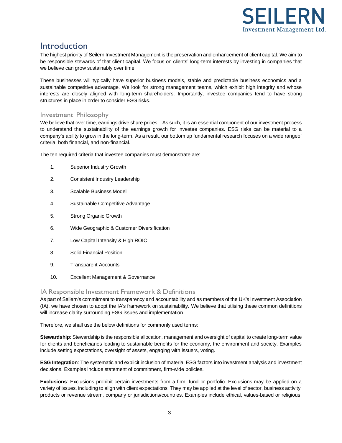

### <span id="page-2-0"></span>Introduction

The highest priority of Seilern Investment Management is the preservation and enhancement of client capital. We aim to be responsible stewards of that client capital. We focus on clients' long-term interests by investing in companies that we believe can grow sustainably over time.

These businesses will typically have superior business models, stable and predictable business economics and a sustainable competitive advantage. We look for strong management teams, which exhibit high integrity and whose interests are closely aligned with long-term shareholders. Importantly, investee companies tend to have strong structures in place in order to consider ESG risks.

### <span id="page-2-1"></span>Investment Philosophy

We believe that over time, earnings drive share prices. As such, it is an essential component of our investment process to understand the sustainability of the earnings growth for investee companies. ESG risks can be material to a company's ability to grow in the long-term. As a result, our bottom up fundamental research focuses on a wide rangeof criteria, both financial, and non-financial.

The ten required criteria that investee companies must demonstrate are:

- 1. Superior Industry Growth
- 2. Consistent Industry Leadership
- 3. Scalable Business Model
- 4. Sustainable Competitive Advantage
- 5. Strong Organic Growth
- 6. Wide Geographic & Customer Diversification
- 7. Low Capital Intensity & High ROIC
- 8. Solid Financial Position
- 9. Transparent Accounts
- 10. Excellent Management & Governance

#### <span id="page-2-2"></span>IA Responsible Investment Framework & Definitions

As part of Seilern's commitment to transparency and accountability and as members of the UK's Investment Association (IA), we have chosen to adopt the IA's framework on sustainability. We believe that utlising these common definitions will increase clarity surrounding ESG issues and implementation.

Therefore, we shall use the below definitions for commonly used terms:

**Stewardship**: Stewardship is the responsible allocation, management and oversight of capital to create long-term value for clients and beneficiaries leading to sustainable benefits for the economy, the environment and society. Examples include setting expectations, oversight of assets, engaging with issuers, voting.

**ESG Integration**: The systematic and explicit inclusion of material ESG factors into investment analysis and investment decisions. Examples include statement of commitment, firm-wide policies.

**Exclusions**: Exclusions prohibit certain investments from a firm, fund or portfolio. Exclusions may be applied on a variety of issues, including to align with client expectations. They may be applied at the level of sector, business activity, products or revenue stream, company or jurisdictions/countries. Examples include ethical, values-based or religious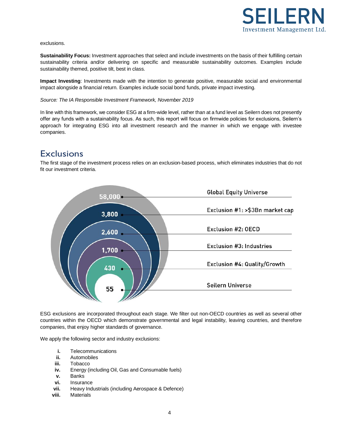

#### exclusions.

**Sustainability Focus:** Investment approaches that select and include investments on the basis of their fulfilling certain sustainability criteria and/or delivering on specific and measurable sustainability outcomes. Examples include sustainability themed, positive tilt, best in class.

**Impact Investing**: Investments made with the intention to generate positive, measurable social and environmental impact alongside a financial return. Examples include social bond funds, private impact investing.

#### *Source: The IA Responsible Investment Framework, November 2019*

In line with this framework, we consider ESG at a firm-wide level, rather than at a fund level as Seilern does not presently offer any funds with a sustainability focus. As such, this report will focus on firmwide policies for exclusions, Seilern's approach for integrating ESG into all investment research and the manner in which we engage with investee companies.

### <span id="page-3-0"></span>**Exclusions**

The first stage of the investment process relies on an exclusion-based process, which eliminates industries that do not fit our investment criteria.



ESG exclusions are incorporated throughout each stage. We filter out non-OECD countries as well as several other countries within the OECD which demonstrate governmental and legal instability, leaving countries, and therefore companies, that enjoy higher standards of governance.

We apply the following sector and industry exclusions:

- **i.** Telecommunications
- **ii.** Automobiles
- **iii.** Tobacco
- **iv.** Energy (including Oil, Gas and Consumable fuels)
- **v.** Banks
- **vi.** Insurance
- **vii.** Heavy Industrials (including Aerospace & Defence)
- **viii.** Materials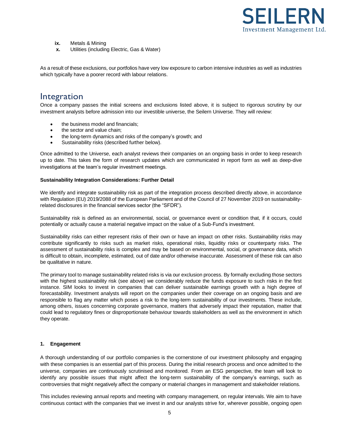

- **ix.** Metals & Mining
- **x.** Utilities (including Electric, Gas & Water)

As a result of these exclusions, our portfolios have very low exposure to carbon intensive industries as well as industries which typically have a poorer record with labour relations.

### <span id="page-4-0"></span>Integration

Once a company passes the initial screens and exclusions listed above, it is subject to rigorous scrutiny by our investment analysts before admission into our investible universe, the Seilern Universe. They will review:

- the business model and financials:
- the sector and value chain;
- the long-term dynamics and risks of the company's growth; and
- Sustainability risks (described further below).

Once admitted to the Universe, each analyst reviews their companies on an ongoing basis in order to keep research up to date. This takes the form of research updates which are communicated in report form as well as deep-dive investigations at the team's regular investment meetings.

#### **Sustainability Integration Considerations: Further Detail**

We identify and integrate sustainability risk as part of the integration process described directly above, in accordance with Regulation (EU) 2019/2088 of the European Parliament and of the Council of 27 November 2019 on sustainabilityrelated disclosures in the financial services sector (the "SFDR").

Sustainability risk is defined as an environmental, social, or governance event or condition that, if it occurs, could potentially or actually cause a material negative impact on the value of a Sub-Fund's investment.

Sustainability risks can either represent risks of their own or have an impact on other risks. Sustainability risks may contribute significantly to risks such as market risks, operational risks, liquidity risks or counterparty risks. The assessment of sustainability risks is complex and may be based on environmental, social, or governance data, which is difficult to obtain, incomplete, estimated, out of date and/or otherwise inaccurate. Assessment of these risk can also be qualitative in nature.

The primary tool to manage sustainability related risks is via our exclusion process. By formally excluding those sectors with the highest sustainability risk (see above) we considerably reduce the funds exposure to such risks in the first instance. SIM looks to invest in companies that can deliver sustainable earnings growth with a high degree of forecastability. Investment analysts will report on the companies under their coverage on an ongoing basis and are responsible to flag any matter which poses a risk to the long-term sustainability of our investments. These include, among others, issues concerning corporate governance, matters that adversely impact their reputation, matter that could lead to regulatory fines or disproportionate behaviour towards stakeholders as well as the environment in which they operate.

#### <span id="page-4-1"></span>**1. Engagement**

A thorough understanding of our portfolio companies is the cornerstone of our investment philosophy and engaging with these companies is an essential part of this process. During the initial research process and once admitted to the universe, companies are continuously scrutinised and monitored. From an ESG perspective, the team will look to identify any possible issues that might affect the long-term sustainability of the company's earnings, such as controversies that might negatively affect the company or material changes in management and stakeholder relations.

This includes reviewing annual reports and meeting with company management, on regular intervals. We aim to have continuous contact with the companies that we invest in and our analysts strive for, wherever possible, ongoing open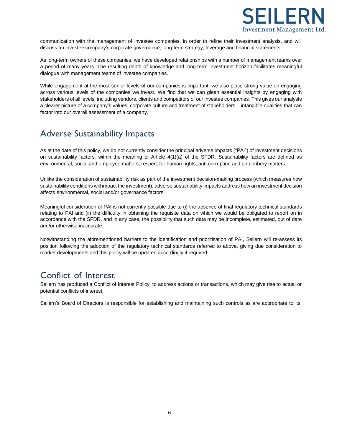

communication with the management of investee companies, in order to refine their investment analysis, and will discuss an investee company's corporate governance, long-term strategy, leverage and financial statements.

As long-term owners of these companies, we have developed relationships with a number of management teams over a period of many years. The resulting depth of knowledge and long-term investment horizon facilitates meaningful dialogue with management teams of investee companies.

While engagement at the most senior levels of our companies is important, we also place strong value on engaging across various levels of the companies we invest. We find that we can glean essential insights by engaging with stakeholders of all levels, including vendors, clients and competitors of our investee companies. This gives our analysts a clearer picture of a company's values, corporate culture and treatment of stakeholders – intangible qualities that can factor into our overall assessment of a company.

### Adverse Sustainability Impacts

As at the date of this policy, we do not currently consider the principal adverse impacts ("PAI") of investment decisions on sustainability factors, within the meaning of Article 4(1)(a) of the SFDR. Sustainability factors are defined as environmental, social and employee matters, respect for human rights, anti‐corruption and anti‐bribery matters.

Unlike the consideration of sustainability risk as part of the investment decision-making process (which measures how sustainability conditions will impact the investment), adverse sustainability impacts address how an investment decision affects environmental, social and/or governance factors.

Meaningful consideration of PAI is not currently possible due to (i) the absence of final regulatory technical standards relating to PAI and (ii) the difficulty in obtaining the requisite data on which we would be obligated to report on in accordance with the SFDR, and in any case, the possibility that such data may be incomplete, estimated, out of date and/or otherwise inaccurate.

Notwithstanding the aforementioned barriers to the identification and prioritisation of PAI, Seilern will re-assess its position following the adoption of the regulatory technical standards referred to above, giving due consideration to market developments and this policy will be updated accordingly if required.

### <span id="page-5-0"></span>Conflict of Interest

Seilern has produced a Conflict of Interest Policy, to address actions or transactions, which may give rise to actual or potential conflicts of interest.

Seilern's Board of Directors is responsible for establishing and maintaining such controls as are appropriate to its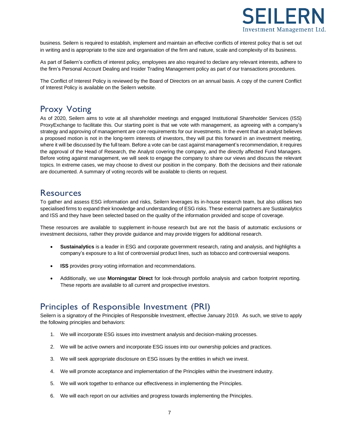

business. Seilern is required to establish, implement and maintain an effective conflicts of interest policy that is set out in writing and is appropriate to the size and organisation of the firm and nature, scale and complexity of its business.

As part of Seilern's conflicts of interest policy, employees are also required to declare any relevant interests, adhere to the firm's Personal Account Dealing and Insider Trading Management policy as part of our transactions procedures.

The Conflict of Interest Policy is reviewed by the Board of Directors on an annual basis. A copy of the current Conflict of Interest Policy is available on the Seilern website.

### <span id="page-6-0"></span>Proxy Voting

As of 2020, Seilern aims to vote at all shareholder meetings and engaged Institutional Shareholder Services (ISS) ProxyExchange to facilitate this. Our starting point is that we vote with management, as agreeing with a company's strategy and approving of management are core requirements for our investments. In the event that an analyst believes a proposed motion is not in the long-term interests of investors, they will put this forward in an investment meeting, where it will be discussed by the full team. Before a vote can be cast against management's recommendation, it requires the approval of the Head of Research, the Analyst covering the company, and the directly affected Fund Managers. Before voting against management, we will seek to engage the company to share our views and discuss the relevant topics. In extreme cases, we may choose to divest our position in the company. Both the decisions and their rationale are documented. A summary of voting records will be available to clients on request.

### <span id="page-6-1"></span>Resources

To gather and assess ESG information and risks, Seilern leverages its in-house research team, but also utilises two specialised firms to expand their knowledge and understanding of ESG risks. These external partners are Sustainalytics and ISS and they have been selected based on the quality of the information provided and scope of coverage.

These resources are available to supplement in-house research but are not the basis of automatic exclusions or investment decisions, rather they provide guidance and may provide triggers for additional research.

- **Sustainalytics** is a leader in ESG and corporate government research, rating and analysis, and highlights a company's exposure to a list of controversial product lines, such as tobacco and controversial weapons.
- **ISS** provides proxy voting information and recommendations.
- Additionally, we use **Morningstar Direct** for look-through portfolio analysis and carbon footprint reporting. These reports are available to all current and prospective investors.

## <span id="page-6-2"></span>Principles of Responsible Investment (PRI)

Seilern is a signatory of the Principles of Responsible Investment, effective January 2019. As such, we strive to apply the following principles and behaviors:

- 1. We will incorporate ESG issues into investment analysis and decision-making processes.
- 2. We will be active owners and incorporate ESG issues into our ownership policies and practices.
- 3. We will seek appropriate disclosure on ESG issues by the entities in which we invest.
- 4. We will promote acceptance and implementation of the Principles within the investment industry.
- 5. We will work together to enhance our effectiveness in implementing the Principles.
- 6. We will each report on our activities and progress towards implementing the Principles.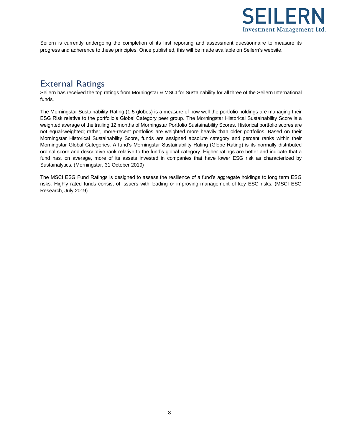

<span id="page-7-1"></span>Seilern is currently undergoing the completion of its first reporting and assessment questionnaire to measure its progress and adherence to these principles. Once published, this will be made available on Seilern's website.

### <span id="page-7-0"></span>External Ratings

Seilern has received the top ratings from Morningstar & MSCI for Sustainability for all three of the Seilern International funds.

The Morningstar Sustainability Rating (1-5 globes) is a measure of how well the portfolio holdings are managing their ESG Risk relative to the portfolio's Global Category peer group. The Morningstar Historical Sustainability Score is a weighted average of the trailing 12 months of Morningstar Portfolio Sustainability Scores. Historical portfolio scores are not equal-weighted; rather, more-recent portfolios are weighted more heavily than older portfolios. Based on their Morningstar Historical Sustainability Score, funds are assigned absolute category and percent ranks within their Morningstar Global Categories. A fund's Morningstar Sustainability Rating (Globe Rating) is its normally distributed ordinal score and descriptive rank relative to the fund's global category. Higher ratings are better and indicate that a fund has, on average, more of its assets invested in companies that have lower ESG risk as characterized by Sustainalytics**.** (Morningstar, 31 October 2019)

The MSCI ESG Fund Ratings is designed to assess the resilience of a fund's aggregate holdings to long term ESG risks. Highly rated funds consist of issuers with leading or improving management of key ESG risks. (MSCI ESG Research, July 2019)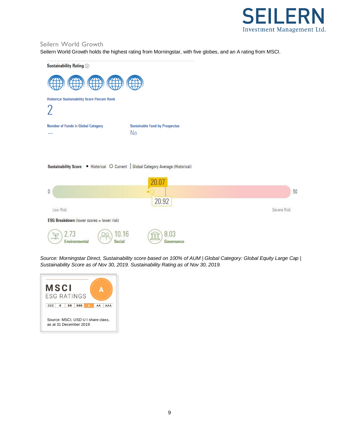

### Seilern World Growth

Seilern World Growth holds the highest rating from Morningstar, with five globes, and an A rating from MSCI.



*Source: Morningstar Direct, Sustainability score based on 100% of AUM | Global Category: Global Equity Large Cap | Sustainability Score as of Nov 30, 2019. Sustainability Rating as of Nov 30, 2019.*

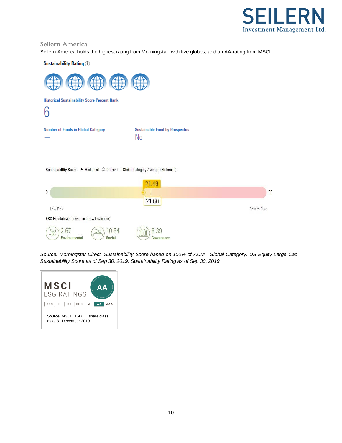

#### <span id="page-9-0"></span>Seilern America

Seilern America holds the highest rating from Morningstar, with five globes, and an AA-rating from MSCI.

**Sustainability Rating (i)** 



|                                                  |                       | 21.46                     |             |
|--------------------------------------------------|-----------------------|---------------------------|-------------|
| 0                                                |                       |                           | 50          |
|                                                  |                       | 21.60                     |             |
| Low Risk                                         |                       |                           | Severe Risk |
| <b>ESG Breakdown</b> (lower scores = lower risk) |                       |                           |             |
| معجمه<br><b>Environmental</b>                    | 0.54<br><b>Social</b> | 8.39<br>JUU<br>Governance |             |

Source: Morningstar Direct, Sustainability Score based on 100% of AUM | Global Category: US Equity Large Cap | *Sustainability Score as of Sep 30, 2019. Sustainability Rating as of Sep 30, 2019.*

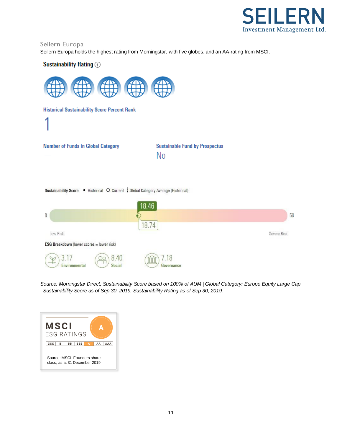

#### <span id="page-10-0"></span>Seilern Europa

Seilern Europa holds the highest rating from Morningstar, with five globes, and an AA-rating from MSCI.

#### **Sustainability Rating (j)**



Source: Morningstar Direct, Sustainability Score based on 100% of AUM | Global Category: Europe Equity Large Cap *| Sustainability Score as of Sep 30, 2019. Sustainability Rating as of Sep 30, 2019.*